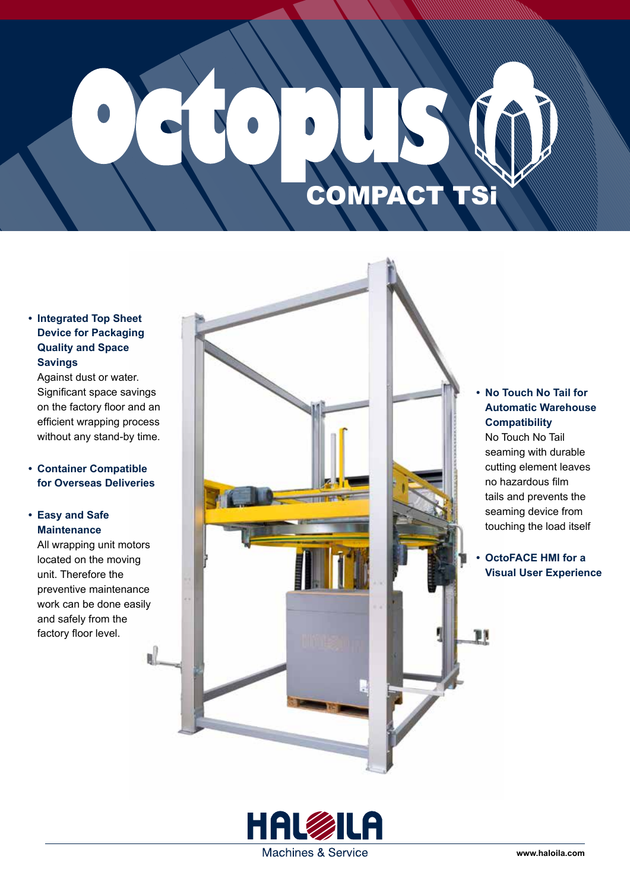# COMPACT TSi

#### **• Integrated Top Sheet Device for Packaging Quality and Space Savings**

Against dust or water. Significant space savings on the factory floor and an efficient wrapping process without any stand-by time.

#### **• Container Compatible for Overseas Deliveries**

#### **• Easy and Safe Maintenance**

All wrapping unit motors located on the moving unit. Therefore the preventive maintenance work can be done easily and safely from the factory floor level.



#### **• No Touch No Tail for Automatic Warehouse Compatibility**

No Touch No Tail seaming with durable cutting element leaves no hazardous film tails and prevents the seaming device from touching the load itself

#### **• OctoFACE HMI for a Visual User Experience**

py

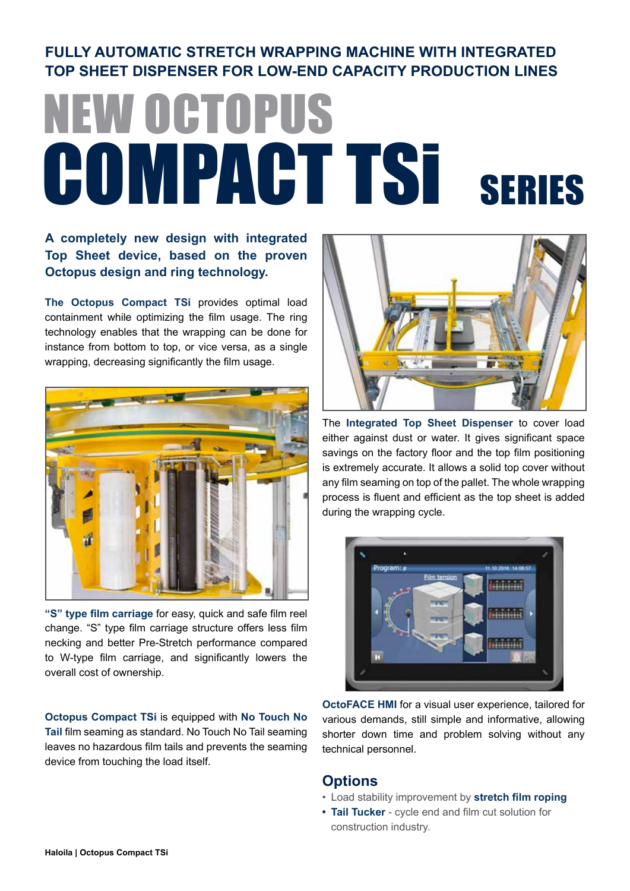#### **FULLY AUTOMATIC STRETCH WRAPPING MACHINE WITH INTEGRATED TOP SHEET DISPENSER FOR LOW-END CAPACITY PRODUCTION LINES**

## NEW OCTOPUS COMPACT TSI SERIES

#### **A completely new design with integrated Top Sheet device, based on the proven Octopus design and ring technology.**

**The Octopus Compact TSi** provides optimal load containment while optimizing the film usage. The ring technology enables that the wrapping can be done for instance from bottom to top, or vice versa, as a single wrapping, decreasing significantly the film usage.



**"S" type film carriage** for easy, quick and safe film reel change. "S" type film carriage structure offers less film necking and better Pre-Stretch performance compared to W-type film carriage, and significantly lowers the overall cost of ownership.

**Octopus Compact TSi** is equipped with **No Touch No Tail** film seaming as standard. No Touch No Tail seaming leaves no hazardous film tails and prevents the seaming device from touching the load itself.



The **Integrated Top Sheet Dispenser** to cover load either against dust or water. It gives significant space savings on the factory floor and the top film positioning is extremely accurate. It allows a solid top cover without any film seaming on top of the pallet. The whole wrapping process is fluent and efficient as the top sheet is added during the wrapping cycle.



**OctoFACE HMI** for a visual user experience, tailored for various demands, still simple and informative, allowing shorter down time and problem solving without any technical personnel.

#### **Options**

- Load stability improvement by **stretch film roping**
- **• Tail Tucker** cycle end and film cut solution for construction industry.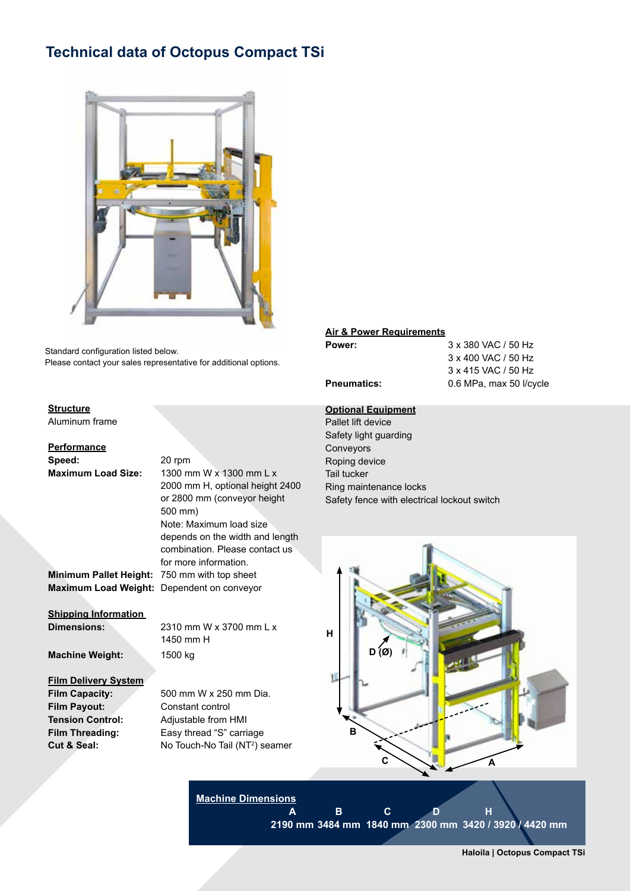#### **Technical data of Octopus Compact TSi**



Standard configuration listed below. Please contact your sales representative for additional options.

#### **Structure**

Aluminum frame

**Performance Speed:** 20 rpm

#### **Maximum Load Size:** 1300 mm W x 1300 mm L x 2000 mm H, optional height 2400 or 2800 mm (conveyor height 500 mm) Note: Maximum load size depends on the width and length combination. Please contact us for more information. **Minimum Pallet Height:** 750 mm with top sheet

**Maximum Load Weight:** Dependent on conveyor

**Shipping Information** 

**Dimensions:** 2310 mm W x 3700 mm L x 1450 mm H

**Machine Weight:** 1500 kg

#### **Film Delivery System**

**Film Payout:** Constant control

**Film Capacity:** 500 mm W x 250 mm Dia. **Tension Control:** Adjustable from HMI **Film Threading:** Easy thread "S" carriage **Cut & Seal:** No Touch-No Tail (NT<sup>2</sup>) seamer

#### **Air & Power Requirements**

**Power:** 3 x 380 VAC / 50 Hz 3 x 400 VAC / 50 Hz 3 x 415 VAC / 50 Hz **Pneumatics:** 0.6 MPa, max 50 l/cycle

#### **Optional Equipment**

Pallet lift device Safety light guarding Conveyors Roping device Tail tucker Ring maintenance locks Safety fence with electrical lockout switch



**Machine Dimensions**

**A B C D H 2190 mm 3484 mm 1840 mm 2300 mm 3420 / 3920 / 4420 mm**